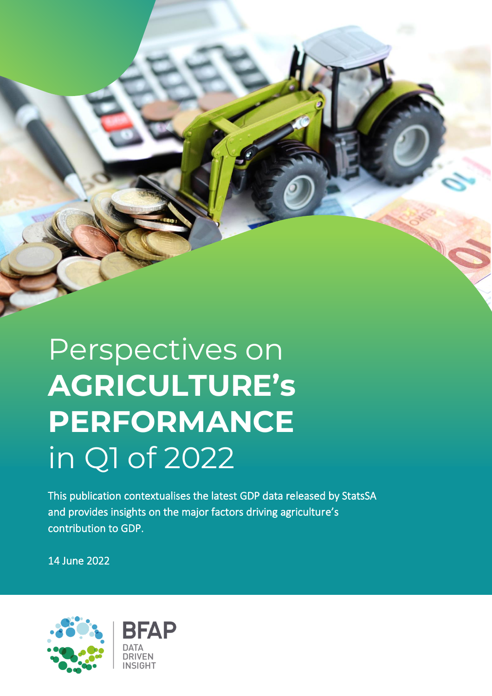

## Perspectives on **AGRICULTURE's PERFORMANCE** in Q1 of 2022

This publication contextualises the latest GDP data released by StatsSA and provides insights on the major factors driving agriculture's contribution to GDP.

14 June 2022

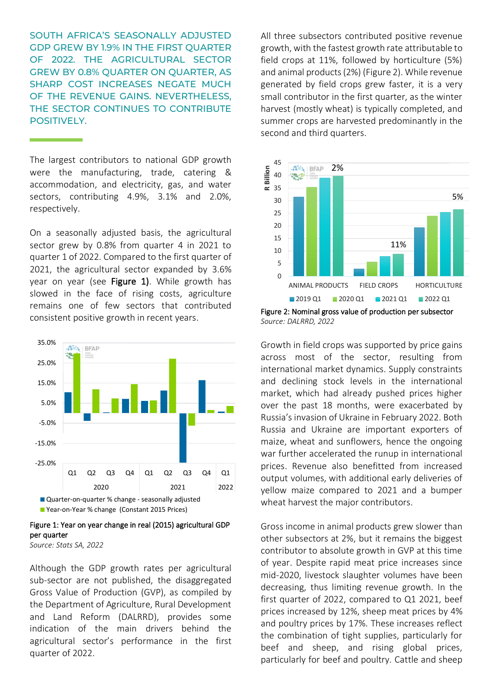SOUTH AFRICA'S SEASONALLY ADJUSTED GDP GREW BY 1.9% IN THE FIRST QUARTER OF 2022. THE AGRICULTURAL SECTOR GREW BY 0.8% QUARTER ON QUARTER, AS SHARP COST INCREASES NEGATE MUCH OF THE REVENUE GAINS. NEVERTHELESS, THE SECTOR CONTINUES TO CONTRIBUTE POSITIVELY.

The largest contributors to national GDP growth were the manufacturing, trade, catering & accommodation, and electricity, gas, and water sectors, contributing 4.9%, 3.1% and 2.0%, respectively.

L

On a seasonally adjusted basis, the agricultural sector grew by 0.8% from quarter 4 in 2021 to quarter 1 of 2022. Compared to the first quarter of 2021, the agricultural sector expanded by 3.6% year on year (see Figure 1). While growth has slowed in the face of rising costs, agriculture remains one of few sectors that contributed consistent positive growth in recent years.



Figure 1: Year on year change in real (2015) agricultural GDP per quarter

*Source: Stats SA, 2022*

Although the GDP growth rates per agricultural sub-sector are not published, the disaggregated Gross Value of Production (GVP), as compiled by the Department of Agriculture, Rural Development and Land Reform (DALRRD), provides some indication of the main drivers behind the agricultural sector's performance in the first quarter of 2022.

All three subsectors contributed positive revenue growth, with the fastest growth rate attributable to field crops at 11%, followed by horticulture (5%) and animal products (2%) (Figure 2). While revenue generated by field crops grew faster, it is a very small contributor in the first quarter, as the winter harvest (mostly wheat) is typically completed, and summer crops are harvested predominantly in the second and third quarters.



Figure 2: Nominal gross value of production per subsector *Source: DALRRD, 2022*

Growth in field crops was supported by price gains across most of the sector, resulting from international market dynamics. Supply constraints and declining stock levels in the international market, which had already pushed prices higher over the past 18 months, were exacerbated by Russia's invasion of Ukraine in February 2022. Both Russia and Ukraine are important exporters of maize, wheat and sunflowers, hence the ongoing war further accelerated the runup in international prices. Revenue also benefitted from increased output volumes, with additional early deliveries of yellow maize compared to 2021 and a bumper wheat harvest the major contributors.

Gross income in animal products grew slower than other subsectors at 2%, but it remains the biggest contributor to absolute growth in GVP at this time of year. Despite rapid meat price increases since mid-2020, livestock slaughter volumes have been decreasing, thus limiting revenue growth. In the first quarter of 2022, compared to Q1 2021, beef prices increased by 12%, sheep meat prices by 4% and poultry prices by 17%. These increases reflect the combination of tight supplies, particularly for beef and sheep, and rising global prices, particularly for beef and poultry. Cattle and sheep